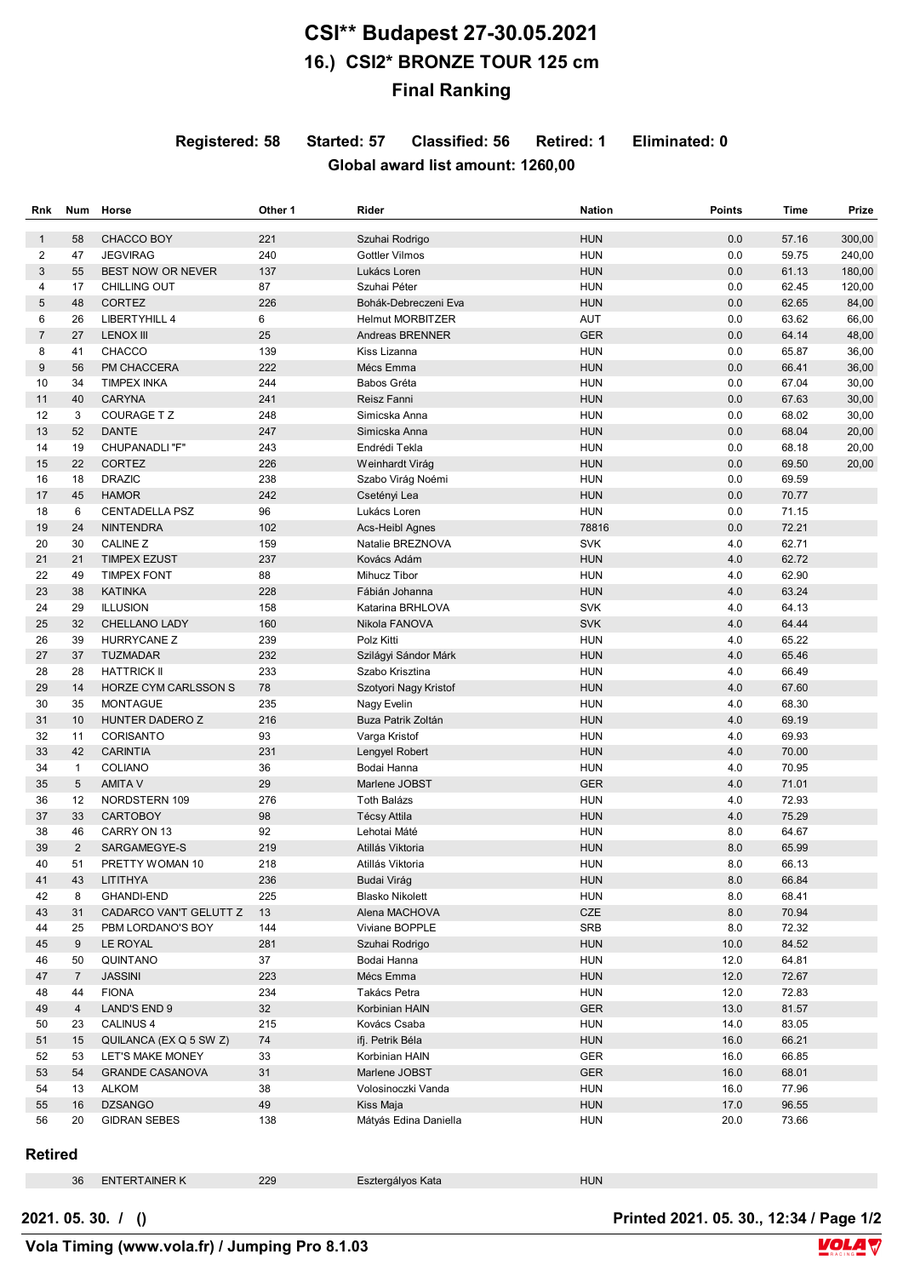## **CSI\*\* Budapest 27-30.05.2021 16.) CSI2\* BRONZE TOUR 125 cm Final Ranking**

**Registered: 58 Started: 57 Classified: 56 Retired: 1 Eliminated: 0**

## **Global award list amount: 1260,00**

| Rnk              | Num            | Horse                  | Other 1 | Rider                   | <b>Nation</b> | <b>Points</b> | Time  | Prize  |
|------------------|----------------|------------------------|---------|-------------------------|---------------|---------------|-------|--------|
| $\mathbf{1}$     | 58             | CHACCO BOY             | 221     | Szuhai Rodrigo          | <b>HUN</b>    | 0.0           | 57.16 | 300,00 |
| 2                | 47             | <b>JEGVIRAG</b>        | 240     | <b>Gottler Vilmos</b>   | <b>HUN</b>    | 0.0           | 59.75 | 240,00 |
| 3                | 55             | BEST NOW OR NEVER      | 137     | Lukács Loren            | <b>HUN</b>    | 0.0           | 61.13 | 180,00 |
| 4                | 17             | <b>CHILLING OUT</b>    | 87      | Szuhai Péter            | <b>HUN</b>    | 0.0           | 62.45 | 120,00 |
| 5                | 48             | <b>CORTEZ</b>          | 226     | Bohák-Debreczeni Eva    | <b>HUN</b>    | 0.0           | 62.65 | 84,00  |
| 6                | 26             | LIBERTYHILL 4          | 6       | <b>Helmut MORBITZER</b> | <b>AUT</b>    | 0.0           | 63.62 | 66,00  |
| $\overline{7}$   | 27             | <b>LENOX III</b>       | 25      | Andreas BRENNER         | <b>GER</b>    | 0.0           | 64.14 | 48,00  |
| 8                | 41             | <b>CHACCO</b>          | 139     | Kiss Lizanna            | <b>HUN</b>    | 0.0           | 65.87 | 36,00  |
| $\boldsymbol{9}$ | 56             | PM CHACCERA            | 222     | Mécs Emma               | <b>HUN</b>    | 0.0           | 66.41 | 36,00  |
| 10               | 34             | <b>TIMPEX INKA</b>     | 244     | Babos Gréta             | <b>HUN</b>    | 0.0           | 67.04 | 30,00  |
| 11               | 40             | <b>CARYNA</b>          | 241     | Reisz Fanni             | <b>HUN</b>    | 0.0           | 67.63 | 30,00  |
| 12               | 3              | COURAGE TZ             | 248     | Simicska Anna           | <b>HUN</b>    | 0.0           | 68.02 | 30,00  |
| 13               | 52             | <b>DANTE</b>           | 247     | Simicska Anna           | <b>HUN</b>    | 0.0           | 68.04 | 20,00  |
| 14               | 19             | CHUPANADLI "F"         | 243     | Endrédi Tekla           | <b>HUN</b>    | 0.0           | 68.18 | 20,00  |
| 15               | 22             | CORTEZ                 | 226     | Weinhardt Virág         | <b>HUN</b>    | 0.0           | 69.50 | 20,00  |
| 16               | 18             | <b>DRAZIC</b>          | 238     | Szabo Virág Noémi       | <b>HUN</b>    | 0.0           | 69.59 |        |
| 17               | 45             | <b>HAMOR</b>           | 242     | Csetényi Lea            | <b>HUN</b>    | 0.0           | 70.77 |        |
| 18               | 6              | <b>CENTADELLA PSZ</b>  | 96      | Lukács Loren            | <b>HUN</b>    | 0.0           | 71.15 |        |
| 19               | 24             | <b>NINTENDRA</b>       | 102     | Acs-Heibl Agnes         | 78816         | 0.0           | 72.21 |        |
| 20               | 30             | CALINE Z               | 159     | Natalie BREZNOVA        | <b>SVK</b>    | 4.0           | 62.71 |        |
| 21               | 21             | <b>TIMPEX EZUST</b>    | 237     | Kovács Adám             | <b>HUN</b>    | 4.0           | 62.72 |        |
| 22               | 49             | <b>TIMPEX FONT</b>     | 88      | Mihucz Tibor            | <b>HUN</b>    | 4.0           | 62.90 |        |
| 23               | 38             | <b>KATINKA</b>         | 228     | Fábián Johanna          | <b>HUN</b>    | 4.0           | 63.24 |        |
| 24               | 29             | <b>ILLUSION</b>        | 158     | Katarina BRHLOVA        | SVK           | 4.0           | 64.13 |        |
|                  |                | <b>CHELLANO LADY</b>   |         |                         | <b>SVK</b>    |               |       |        |
| 25               | 32             |                        | 160     | Nikola FANOVA           |               | 4.0           | 64.44 |        |
| 26               | 39             | <b>HURRYCANE Z</b>     | 239     | Polz Kitti              | <b>HUN</b>    | 4.0           | 65.22 |        |
| 27               | 37             | <b>TUZMADAR</b>        | 232     | Szilágyi Sándor Márk    | <b>HUN</b>    | 4.0           | 65.46 |        |
| 28               | 28             | <b>HATTRICK II</b>     | 233     | Szabo Krisztina         | <b>HUN</b>    | 4.0           | 66.49 |        |
| 29               | 14             | HORZE CYM CARLSSON S   | 78      | Szotyori Nagy Kristof   | <b>HUN</b>    | 4.0           | 67.60 |        |
| 30               | 35             | <b>MONTAGUE</b>        | 235     | Nagy Evelin             | <b>HUN</b>    | 4.0           | 68.30 |        |
| 31               | 10             | HUNTER DADERO Z        | 216     | Buza Patrik Zoltán      | <b>HUN</b>    | 4.0           | 69.19 |        |
| 32               | 11             | CORISANTO              | 93      | Varga Kristof           | <b>HUN</b>    | 4.0           | 69.93 |        |
| 33               | 42             | <b>CARINTIA</b>        | 231     | Lengyel Robert          | <b>HUN</b>    | 4.0           | 70.00 |        |
| 34               | $\mathbf{1}$   | <b>COLIANO</b>         | 36      | Bodai Hanna             | <b>HUN</b>    | 4.0           | 70.95 |        |
| 35               | 5              | <b>AMITA V</b>         | 29      | Marlene JOBST           | <b>GER</b>    | 4.0           | 71.01 |        |
| 36               | 12             | NORDSTERN 109          | 276     | Toth Balázs             | <b>HUN</b>    | 4.0           | 72.93 |        |
| 37               | 33             | <b>CARTOBOY</b>        | 98      | Técsy Attila            | <b>HUN</b>    | 4.0           | 75.29 |        |
| 38               | 46             | CARRY ON 13            | 92      | Lehotai Máté            | <b>HUN</b>    | 8.0           | 64.67 |        |
| 39               | $\overline{2}$ | SARGAMEGYE-S           | 219     | Atillás Viktoria        | <b>HUN</b>    | 8.0           | 65.99 |        |
| 40               | 51             | PRETTY WOMAN 10        | 218     | Atillás Viktoria        | <b>HUN</b>    | 8.0           | 66.13 |        |
| 41               | 43             | LITITHYA               | 236     | Budai Virág             | HUN           | $8.0\,$       | 66.84 |        |
| 42               | 8              | GHANDI-END             | 225     | Blasko Nikolett         | <b>HUN</b>    | 8.0           | 68.41 |        |
| 43               | 31             | CADARCO VAN'T GELUTT Z | 13      | Alena MACHOVA           | CZE           | 8.0           | 70.94 |        |
| 44               | 25             | PBM LORDANO'S BOY      | 144     | Viviane BOPPLE          | SRB           | 8.0           | 72.32 |        |
| 45               | 9              | LE ROYAL               | 281     | Szuhai Rodrigo          | <b>HUN</b>    | 10.0          | 84.52 |        |
| 46               | 50             | QUINTANO               | 37      | Bodai Hanna             | <b>HUN</b>    | 12.0          | 64.81 |        |
| 47               | $\overline{7}$ | <b>JASSINI</b>         | 223     | Mécs Emma               | <b>HUN</b>    | 12.0          | 72.67 |        |
| 48               | 44             | <b>FIONA</b>           | 234     | Takács Petra            | <b>HUN</b>    | 12.0          | 72.83 |        |
| 49               | $\overline{4}$ | LAND'S END 9           | 32      | Korbinian HAIN          | <b>GER</b>    | 13.0          | 81.57 |        |
| 50               | 23             | <b>CALINUS 4</b>       | 215     | Kovács Csaba            | <b>HUN</b>    | 14.0          | 83.05 |        |
| 51               | 15             | QUILANCA (EX Q 5 SW Z) | 74      | ifj. Petrik Béla        | <b>HUN</b>    | 16.0          | 66.21 |        |
| 52               | 53             | LET'S MAKE MONEY       | 33      | Korbinian HAIN          | <b>GER</b>    | 16.0          | 66.85 |        |
| 53               | 54             | <b>GRANDE CASANOVA</b> | 31      | Marlene JOBST           | <b>GER</b>    | 16.0          | 68.01 |        |
| 54               | 13             | <b>ALKOM</b>           | 38      | Volosinoczki Vanda      | <b>HUN</b>    | 16.0          | 77.96 |        |
| 55               | 16             | <b>DZSANGO</b>         | 49      | Kiss Maja               | <b>HUN</b>    | 17.0          | 96.55 |        |
| 56               | 20             | <b>GIDRAN SEBES</b>    | 138     | Mátyás Edina Daniella   | <b>HUN</b>    | 20.0          | 73.66 |        |
|                  |                |                        |         |                         |               |               |       |        |

## **Retired**

| 36 | <b>TERTAINER K</b> | ___ | <i>Ξ</i> sztergályos Kata | חו |
|----|--------------------|-----|---------------------------|----|